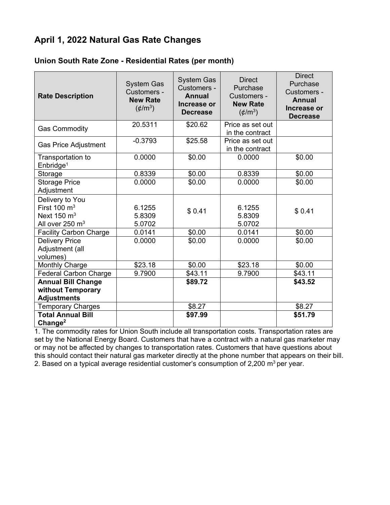## **April 1, 2022 Natural Gas Rate Changes**

## **Union South Rate Zone - Residential Rates (per month)**

| <b>Rate Description</b>                                                                             | <b>System Gas</b><br>Customers -<br><b>New Rate</b><br>$(\phi/m^3)$ | <b>System Gas</b><br>Customers -<br><b>Annual</b><br>Increase or<br><b>Decrease</b> | <b>Direct</b><br>Purchase<br>Customers -<br><b>New Rate</b><br>$(\phi/m^3)$ | <b>Direct</b><br>Purchase<br>Customers -<br><b>Annual</b><br>Increase or<br><b>Decrease</b> |
|-----------------------------------------------------------------------------------------------------|---------------------------------------------------------------------|-------------------------------------------------------------------------------------|-----------------------------------------------------------------------------|---------------------------------------------------------------------------------------------|
| <b>Gas Commodity</b>                                                                                | 20.5311                                                             | \$20.62                                                                             | Price as set out<br>in the contract                                         |                                                                                             |
| <b>Gas Price Adjustment</b>                                                                         | $-0.3793$                                                           | \$25.58                                                                             | Price as set out<br>in the contract                                         |                                                                                             |
| Transportation to<br>Enbridge <sup>1</sup>                                                          | 0.0000                                                              | \$0.00                                                                              | 0.0000                                                                      | \$0.00                                                                                      |
| Storage                                                                                             | 0.8339                                                              | \$0.00                                                                              | 0.8339                                                                      | \$0.00                                                                                      |
| <b>Storage Price</b><br>Adjustment                                                                  | 0.0000                                                              | \$0.00                                                                              | 0.0000                                                                      | \$0.00                                                                                      |
| Delivery to You<br>First $100 \text{ m}^3$<br>Next $150 \text{ m}^3$<br>All over 250 m <sup>3</sup> | 6.1255<br>5.8309<br>5.0702                                          | \$0.41                                                                              | 6.1255<br>5.8309<br>5.0702                                                  | \$0.41                                                                                      |
| <b>Facility Carbon Charge</b>                                                                       | 0.0141                                                              | \$0.00                                                                              | 0.0141                                                                      | \$0.00                                                                                      |
| <b>Delivery Price</b><br>Adjustment (all<br>volumes)                                                | 0.0000                                                              | \$0.00                                                                              | 0.0000                                                                      | \$0.00                                                                                      |
| Monthly Charge                                                                                      | \$23.18                                                             | \$0.00                                                                              | \$23.18                                                                     | \$0.00                                                                                      |
| <b>Federal Carbon Charge</b>                                                                        | 9.7900                                                              | \$43.11                                                                             | 9.7900                                                                      | \$43.11                                                                                     |
| <b>Annual Bill Change</b><br>without Temporary                                                      |                                                                     | \$89.72                                                                             |                                                                             | \$43.52                                                                                     |
| <b>Adjustments</b>                                                                                  |                                                                     |                                                                                     |                                                                             |                                                                                             |
| <b>Temporary Charges</b>                                                                            |                                                                     | \$8.27                                                                              |                                                                             | \$8.27                                                                                      |
| <b>Total Annual Bill</b><br>Change <sup>2</sup>                                                     |                                                                     | \$97.99                                                                             |                                                                             | \$51.79                                                                                     |

1. The commodity rates for Union South include all transportation costs. Transportation rates are set by the National Energy Board. Customers that have a contract with a natural gas marketer may or may not be affected by changes to transportation rates. Customers that have questions about this should contact their natural gas marketer directly at the phone number that appears on their bill. 2. Based on a typical average residential customer's consumption of 2,200  $m^3$  per year.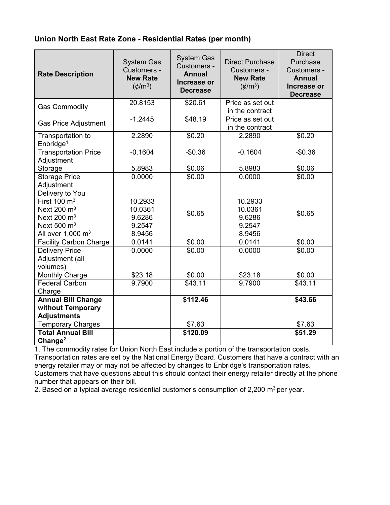## **Union North East Rate Zone - Residential Rates (per month)**

| <b>Rate Description</b>                                                                                                        | <b>System Gas</b><br>Customers -<br><b>New Rate</b><br>$(\phi/m^3)$ | <b>System Gas</b><br>Customers -<br><b>Annual</b><br>Increase or<br><b>Decrease</b> | <b>Direct Purchase</b><br>Customers -<br><b>New Rate</b><br>$(\phi/m^3)$ | <b>Direct</b><br>Purchase<br>Customers -<br><b>Annual</b><br>Increase or<br><b>Decrease</b> |
|--------------------------------------------------------------------------------------------------------------------------------|---------------------------------------------------------------------|-------------------------------------------------------------------------------------|--------------------------------------------------------------------------|---------------------------------------------------------------------------------------------|
| <b>Gas Commodity</b>                                                                                                           | 20.8153                                                             | \$20.61                                                                             | Price as set out<br>in the contract                                      |                                                                                             |
| <b>Gas Price Adjustment</b>                                                                                                    | $-1.2445$                                                           | \$48.19                                                                             | Price as set out<br>in the contract                                      |                                                                                             |
| Transportation to<br>Enbridge <sup>1</sup>                                                                                     | 2.2890                                                              | \$0.20                                                                              | 2.2890                                                                   | \$0.20                                                                                      |
| <b>Transportation Price</b><br>Adjustment                                                                                      | $-0.1604$                                                           | $-$0.36$                                                                            | $-0.1604$                                                                | $-$0.36$                                                                                    |
| Storage                                                                                                                        | 5.8983                                                              | \$0.06                                                                              | 5.8983                                                                   | \$0.06                                                                                      |
| <b>Storage Price</b><br>Adjustment                                                                                             | 0.0000                                                              | \$0.00                                                                              | 0.0000                                                                   | \$0.00                                                                                      |
| Delivery to You<br>First 100 $\mathrm{m}^3$<br>Next 200 $m3$<br>Next 200 $m3$<br>Next 500 $m3$<br>All over $1,000 \text{ m}^3$ | 10.2933<br>10.0361<br>9.6286<br>9.2547<br>8.9456                    | \$0.65                                                                              | 10.2933<br>10.0361<br>9.6286<br>9.2547<br>8.9456                         | \$0.65                                                                                      |
| <b>Facility Carbon Charge</b>                                                                                                  | 0.0141                                                              | \$0.00                                                                              | 0.0141                                                                   | \$0.00                                                                                      |
| <b>Delivery Price</b><br>Adjustment (all<br>volumes)                                                                           | 0.0000                                                              | \$0.00                                                                              | 0.0000                                                                   | \$0.00                                                                                      |
| <b>Monthly Charge</b>                                                                                                          | \$23.18                                                             | \$0.00                                                                              | \$23.18                                                                  | \$0.00                                                                                      |
| <b>Federal Carbon</b><br>Charge                                                                                                | 9.7900                                                              | \$43.11                                                                             | 9.7900                                                                   | \$43.11                                                                                     |
| <b>Annual Bill Change</b><br>without Temporary<br><b>Adjustments</b>                                                           |                                                                     | \$112.46                                                                            |                                                                          | \$43.66                                                                                     |
| <b>Temporary Charges</b>                                                                                                       |                                                                     | \$7.63                                                                              |                                                                          | \$7.63                                                                                      |
| <b>Total Annual Bill</b><br>Change <sup>2</sup>                                                                                |                                                                     | \$120.09                                                                            |                                                                          | \$51.29                                                                                     |

1. The commodity rates for Union North East include a portion of the transportation costs. Transportation rates are set by the National Energy Board. Customers that have a contract with an energy retailer may or may not be affected by changes to Enbridge's transportation rates. Customers that have questions about this should contact their energy retailer directly at the phone number that appears on their bill.

2. Based on a typical average residential customer's consumption of 2,200  $m^3$  per year.